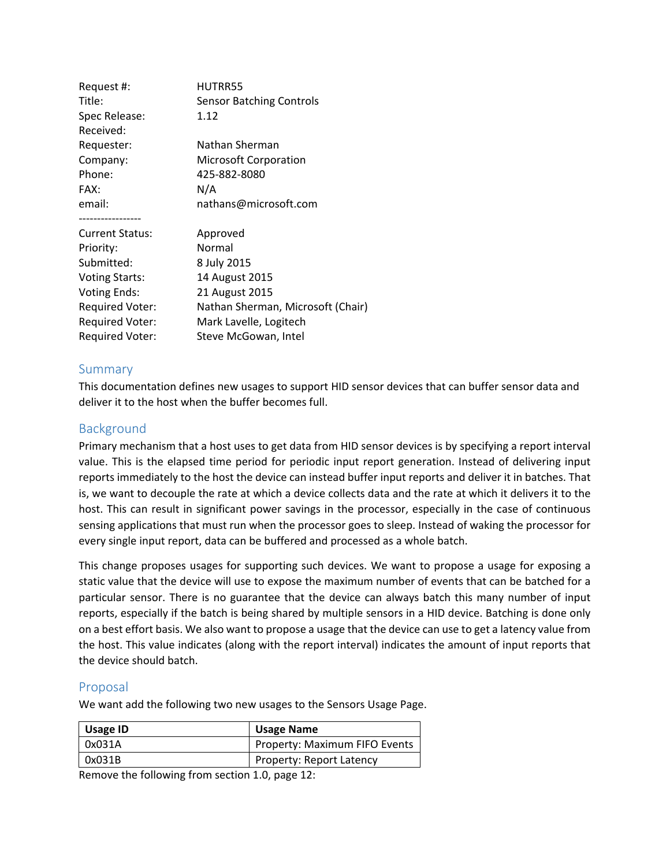| Request #:             | HUTRR55                           |
|------------------------|-----------------------------------|
| Title:                 | <b>Sensor Batching Controls</b>   |
| Spec Release:          | 1.12                              |
| Received:              |                                   |
| Requester:             | Nathan Sherman                    |
| Company:               | <b>Microsoft Corporation</b>      |
| Phone:                 | 425-882-8080                      |
| FAX:                   | N/A                               |
| email:                 | nathans@microsoft.com             |
| <b>Current Status:</b> | Approved                          |
| Priority:              | Normal                            |
| Submitted:             | 8 July 2015                       |
| <b>Voting Starts:</b>  | 14 August 2015                    |
| <b>Voting Ends:</b>    | 21 August 2015                    |
| <b>Required Voter:</b> | Nathan Sherman, Microsoft (Chair) |
| Required Voter:        | Mark Lavelle, Logitech            |
| <b>Required Voter:</b> | Steve McGowan, Intel              |

## Summary

This documentation defines new usages to support HID sensor devices that can buffer sensor data and deliver it to the host when the buffer becomes full.

## Background

Primary mechanism that a host uses to get data from HID sensor devices is by specifying a report interval value. This is the elapsed time period for periodic input report generation. Instead of delivering input reports immediately to the host the device can instead buffer input reports and deliver it in batches. That is, we want to decouple the rate at which a device collects data and the rate at which it delivers it to the host. This can result in significant power savings in the processor, especially in the case of continuous sensing applications that must run when the processor goes to sleep. Instead of waking the processor for every single input report, data can be buffered and processed as a whole batch.

This change proposes usages for supporting such devices. We want to propose a usage for exposing a static value that the device will use to expose the maximum number of events that can be batched for a particular sensor. There is no guarantee that the device can always batch this many number of input reports, especially if the batch is being shared by multiple sensors in a HID device. Batching is done only on a best effort basis. We also want to propose a usage that the device can use to get a latency value from the host. This value indicates (along with the report interval) indicates the amount of input reports that the device should batch.

## Proposal

We want add the following two new usages to the Sensors Usage Page.

| Usage ID | <b>Usage Name</b>             |
|----------|-------------------------------|
| 0x031A   | Property: Maximum FIFO Events |
| 0x031B   | Property: Report Latency      |

Remove the following from section 1.0, page 12: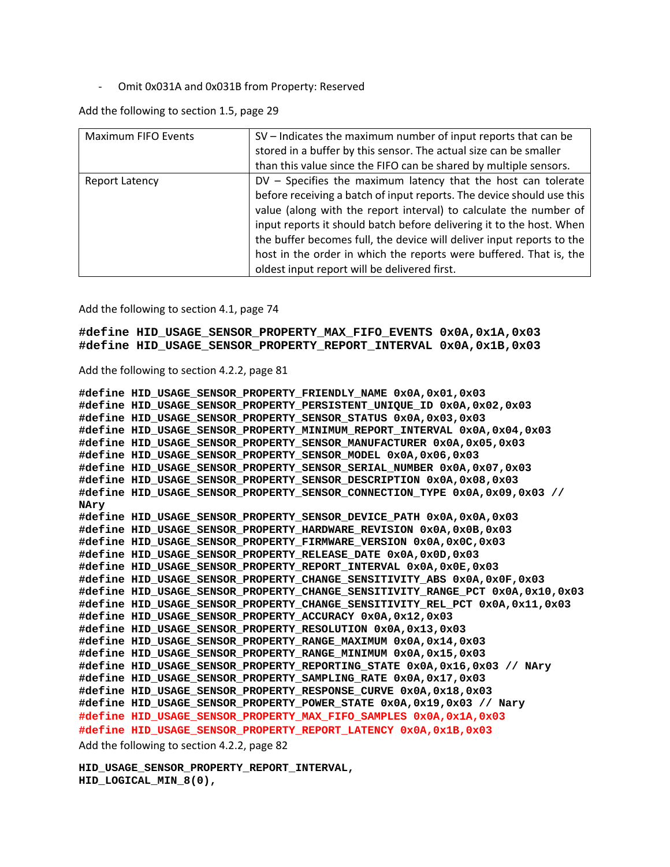‐ Omit 0x031A and 0x031B from Property: Reserved

Add the following to section 1.5, page 29

| Maximum FIFO Events | SV - Indicates the maximum number of input reports that can be<br>stored in a buffer by this sensor. The actual size can be smaller<br>than this value since the FIFO can be shared by multiple sensors.                                                                                                                                                                                                                                                                           |
|---------------------|------------------------------------------------------------------------------------------------------------------------------------------------------------------------------------------------------------------------------------------------------------------------------------------------------------------------------------------------------------------------------------------------------------------------------------------------------------------------------------|
| Report Latency      | DV - Specifies the maximum latency that the host can tolerate<br>before receiving a batch of input reports. The device should use this<br>value (along with the report interval) to calculate the number of<br>input reports it should batch before delivering it to the host. When<br>the buffer becomes full, the device will deliver input reports to the<br>host in the order in which the reports were buffered. That is, the<br>oldest input report will be delivered first. |

Add the following to section 4.1, page 74

**#define HID\_USAGE\_SENSOR\_PROPERTY\_MAX\_FIFO\_EVENTS 0x0A,0x1A,0x03 #define HID\_USAGE\_SENSOR\_PROPERTY\_REPORT\_INTERVAL 0x0A,0x1B,0x03** 

Add the following to section 4.2.2, page 81

```
#define HID_USAGE_SENSOR_PROPERTY_FRIENDLY_NAME 0x0A,0x01,0x03 
#define HID_USAGE_SENSOR_PROPERTY_PERSISTENT_UNIQUE_ID 0x0A,0x02,0x03 
#define HID_USAGE_SENSOR_PROPERTY_SENSOR_STATUS 0x0A,0x03,0x03 
#define HID_USAGE_SENSOR_PROPERTY_MINIMUM_REPORT_INTERVAL 0x0A,0x04,0x03 
#define HID_USAGE_SENSOR_PROPERTY_SENSOR_MANUFACTURER 0x0A,0x05,0x03 
#define HID_USAGE_SENSOR_PROPERTY_SENSOR_MODEL 0x0A,0x06,0x03 
#define HID_USAGE_SENSOR_PROPERTY_SENSOR_SERIAL_NUMBER 0x0A,0x07,0x03 
#define HID_USAGE_SENSOR_PROPERTY_SENSOR_DESCRIPTION 0x0A,0x08,0x03 
#define HID_USAGE_SENSOR_PROPERTY_SENSOR_CONNECTION_TYPE 0x0A,0x09,0x03 // 
NAry 
#define HID_USAGE_SENSOR_PROPERTY_SENSOR_DEVICE_PATH 0x0A,0x0A,0x03 
#define HID_USAGE_SENSOR_PROPERTY_HARDWARE_REVISION 0x0A,0x0B,0x03 
#define HID_USAGE_SENSOR_PROPERTY_FIRMWARE_VERSION 0x0A,0x0C,0x03 
#define HID_USAGE_SENSOR_PROPERTY_RELEASE_DATE 0x0A,0x0D,0x03 
#define HID_USAGE_SENSOR_PROPERTY_REPORT_INTERVAL 0x0A,0x0E,0x03 
#define HID_USAGE_SENSOR_PROPERTY_CHANGE_SENSITIVITY_ABS 0x0A,0x0F,0x03 
#define HID_USAGE_SENSOR_PROPERTY_CHANGE_SENSITIVITY_RANGE_PCT 0x0A,0x10,0x03 
#define HID_USAGE_SENSOR_PROPERTY_CHANGE_SENSITIVITY_REL_PCT 0x0A,0x11,0x03 
#define HID_USAGE_SENSOR_PROPERTY_ACCURACY 0x0A,0x12,0x03 
#define HID_USAGE_SENSOR_PROPERTY_RESOLUTION 0x0A,0x13,0x03 
#define HID_USAGE_SENSOR_PROPERTY_RANGE_MAXIMUM 0x0A,0x14,0x03 
#define HID_USAGE_SENSOR_PROPERTY_RANGE_MINIMUM 0x0A,0x15,0x03 
#define HID_USAGE_SENSOR_PROPERTY_REPORTING_STATE 0x0A,0x16,0x03 // NAry 
#define HID_USAGE_SENSOR_PROPERTY_SAMPLING_RATE 0x0A,0x17,0x03 
#define HID_USAGE_SENSOR_PROPERTY_RESPONSE_CURVE 0x0A,0x18,0x03 
#define HID_USAGE_SENSOR_PROPERTY_POWER_STATE 0x0A,0x19,0x03 // Nary 
#define HID_USAGE_SENSOR_PROPERTY_MAX_FIFO_SAMPLES 0x0A,0x1A,0x03 
#define HID_USAGE_SENSOR_PROPERTY_REPORT_LATENCY 0x0A,0x1B,0x03
```
Add the following to section 4.2.2, page 82

**HID\_USAGE\_SENSOR\_PROPERTY\_REPORT\_INTERVAL, HID\_LOGICAL\_MIN\_8(0),**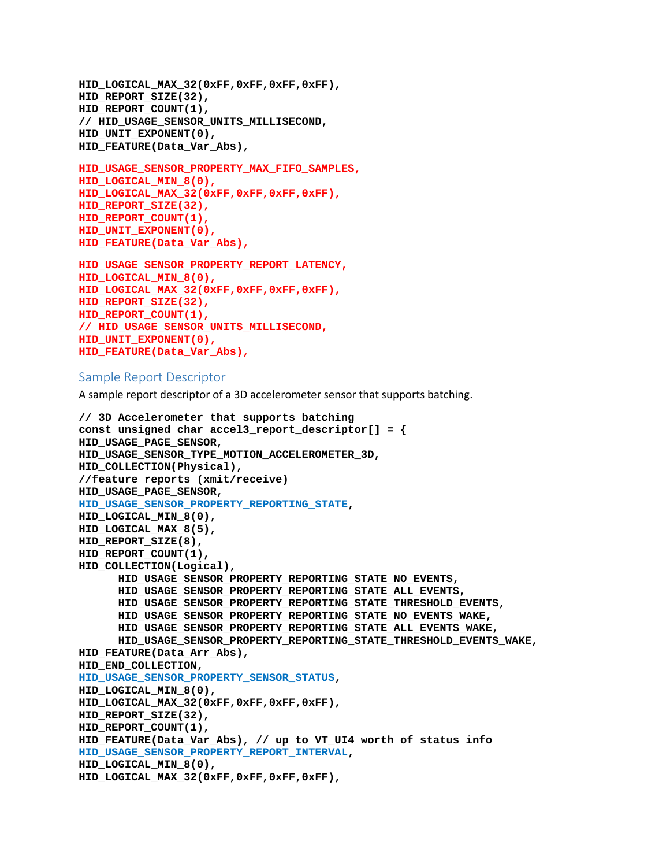```
HID_LOGICAL_MAX_32(0xFF,0xFF,0xFF,0xFF), 
HID_REPORT_SIZE(32), 
HID_REPORT_COUNT(1), 
// HID_USAGE_SENSOR_UNITS_MILLISECOND, 
HID_UNIT_EXPONENT(0), 
HID_FEATURE(Data_Var_Abs),
```

```
HID_USAGE_SENSOR_PROPERTY_MAX_FIFO_SAMPLES, 
HID_LOGICAL_MIN_8(0), 
HID_LOGICAL_MAX_32(0xFF,0xFF,0xFF,0xFF), 
HID_REPORT_SIZE(32), 
HID_REPORT_COUNT(1), 
HID_UNIT_EXPONENT(0), 
HID_FEATURE(Data_Var_Abs),
```

```
HID_USAGE_SENSOR_PROPERTY_REPORT_LATENCY, 
HID_LOGICAL_MIN_8(0), 
HID_LOGICAL_MAX_32(0xFF,0xFF,0xFF,0xFF), 
HID_REPORT_SIZE(32), 
HID_REPORT_COUNT(1), 
// HID_USAGE_SENSOR_UNITS_MILLISECOND, 
HID UNIT EXPONENT(0),
HID_FEATURE(Data_Var_Abs),
```
## Sample Report Descriptor

A sample report descriptor of a 3D accelerometer sensor that supports batching.

```
// 3D Accelerometer that supports batching 
const unsigned char accel3 report descriptor[] = \{HID_USAGE_PAGE_SENSOR, 
HID_USAGE_SENSOR_TYPE_MOTION_ACCELEROMETER_3D, 
HID_COLLECTION(Physical), 
//feature reports (xmit/receive) 
HID_USAGE_PAGE_SENSOR, 
HID_USAGE_SENSOR_PROPERTY_REPORTING_STATE, 
HID_LOGICAL_MIN_8(0), 
HID_LOGICAL_MAX_8(5), 
HID_REPORT_SIZE(8), 
HID_REPORT_COUNT(1), 
HID_COLLECTION(Logical), 
      HID_USAGE_SENSOR_PROPERTY_REPORTING_STATE_NO_EVENTS, 
      HID_USAGE_SENSOR_PROPERTY_REPORTING_STATE_ALL_EVENTS, 
      HID_USAGE_SENSOR_PROPERTY_REPORTING_STATE_THRESHOLD_EVENTS, 
      HID_USAGE_SENSOR_PROPERTY_REPORTING_STATE_NO_EVENTS_WAKE, 
      HID_USAGE_SENSOR_PROPERTY_REPORTING_STATE_ALL_EVENTS_WAKE, 
      HID_USAGE_SENSOR_PROPERTY_REPORTING_STATE_THRESHOLD_EVENTS_WAKE, 
HID_FEATURE(Data_Arr_Abs), 
HID_END_COLLECTION, 
HID_USAGE_SENSOR_PROPERTY_SENSOR_STATUS, 
HID_LOGICAL_MIN_8(0), 
HID_LOGICAL_MAX_32(0xFF,0xFF,0xFF,0xFF), 
HID_REPORT_SIZE(32), 
HID_REPORT_COUNT(1), 
HID_FEATURE(Data_Var_Abs), // up to VT_UI4 worth of status info 
HID_USAGE_SENSOR_PROPERTY_REPORT_INTERVAL, 
HID_LOGICAL_MIN_8(0), 
HID_LOGICAL_MAX_32(0xFF,0xFF,0xFF,0xFF),
```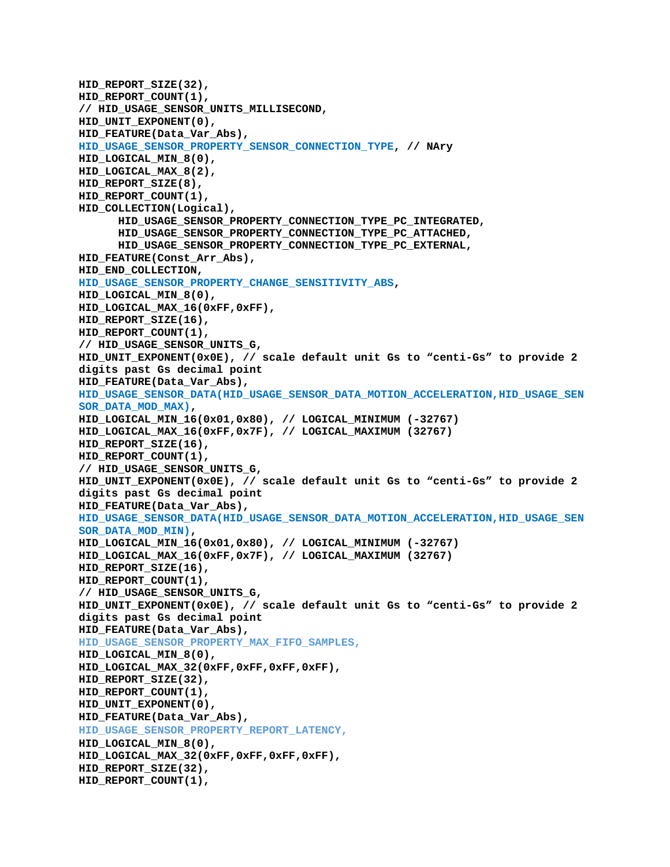```
HID_REPORT_SIZE(32), 
HID_REPORT_COUNT(1), 
// HID_USAGE_SENSOR_UNITS_MILLISECOND, 
HID_UNIT_EXPONENT(0), 
HID_FEATURE(Data_Var_Abs), 
HID_USAGE_SENSOR_PROPERTY_SENSOR_CONNECTION_TYPE, // NAry 
HID_LOGICAL_MIN_8(0), 
HID_LOGICAL_MAX_8(2), 
HID_REPORT_SIZE(8), 
HID_REPORT_COUNT(1), 
HID_COLLECTION(Logical), 
      HID_USAGE_SENSOR_PROPERTY_CONNECTION_TYPE_PC_INTEGRATED, 
      HID_USAGE_SENSOR_PROPERTY_CONNECTION_TYPE_PC_ATTACHED, 
      HID_USAGE_SENSOR_PROPERTY_CONNECTION_TYPE_PC_EXTERNAL, 
HID_FEATURE(Const_Arr_Abs), 
HID_END_COLLECTION, 
HID_USAGE_SENSOR_PROPERTY_CHANGE_SENSITIVITY_ABS, 
HID_LOGICAL_MIN_8(0), 
HID_LOGICAL_MAX_16(0xFF,0xFF), 
HID_REPORT_SIZE(16), 
HID_REPORT_COUNT(1), 
// HID_USAGE_SENSOR_UNITS_G, 
HID_UNIT_EXPONENT(0x0E), // scale default unit Gs to "centi-Gs" to provide 2 
digits past Gs decimal point 
HID_FEATURE(Data_Var_Abs), 
HID_USAGE_SENSOR_DATA(HID_USAGE_SENSOR_DATA_MOTION_ACCELERATION,HID_USAGE_SEN
SOR_DATA_MOD_MAX), 
HID_LOGICAL_MIN_16(0x01,0x80), // LOGICAL_MINIMUM (-32767) 
HID_LOGICAL_MAX_16(0xFF,0x7F), // LOGICAL_MAXIMUM (32767) 
HID_REPORT_SIZE(16), 
HID_REPORT_COUNT(1), 
// HID_USAGE_SENSOR_UNITS_G, 
HID_UNIT_EXPONENT(0x0E), // scale default unit Gs to "centi-Gs" to provide 2 
digits past Gs decimal point 
HID_FEATURE(Data_Var_Abs), 
HID_USAGE_SENSOR_DATA(HID_USAGE_SENSOR_DATA_MOTION_ACCELERATION,HID_USAGE_SEN
SOR_DATA_MOD_MIN),
HID_LOGICAL_MIN_16(0x01,0x80), // LOGICAL_MINIMUM (-32767) 
HID_LOGICAL_MAX_16(0xFF,0x7F), // LOGICAL_MAXIMUM (32767) 
HID_REPORT_SIZE(16), 
HID REPORT COUNT(1),
// HID_USAGE_SENSOR_UNITS_G, 
HID_UNIT_EXPONENT(0x0E), // scale default unit Gs to "centi-Gs" to provide 2 
digits past Gs decimal point 
HID_FEATURE(Data_Var_Abs), 
HID_USAGE_SENSOR_PROPERTY_MAX_FIFO_SAMPLES, 
HID_LOGICAL_MIN_8(0), 
HID_LOGICAL_MAX_32(0xFF,0xFF,0xFF,0xFF), 
HID_REPORT_SIZE(32), 
HID_REPORT_COUNT(1), 
HID_UNIT_EXPONENT(0), 
HID_FEATURE(Data_Var_Abs), 
HID_USAGE_SENSOR_PROPERTY_REPORT_LATENCY, 
HID_LOGICAL_MIN_8(0), 
HID_LOGICAL_MAX_32(0xFF,0xFF,0xFF,0xFF), 
HID_REPORT_SIZE(32), 
HID_REPORT_COUNT(1),
```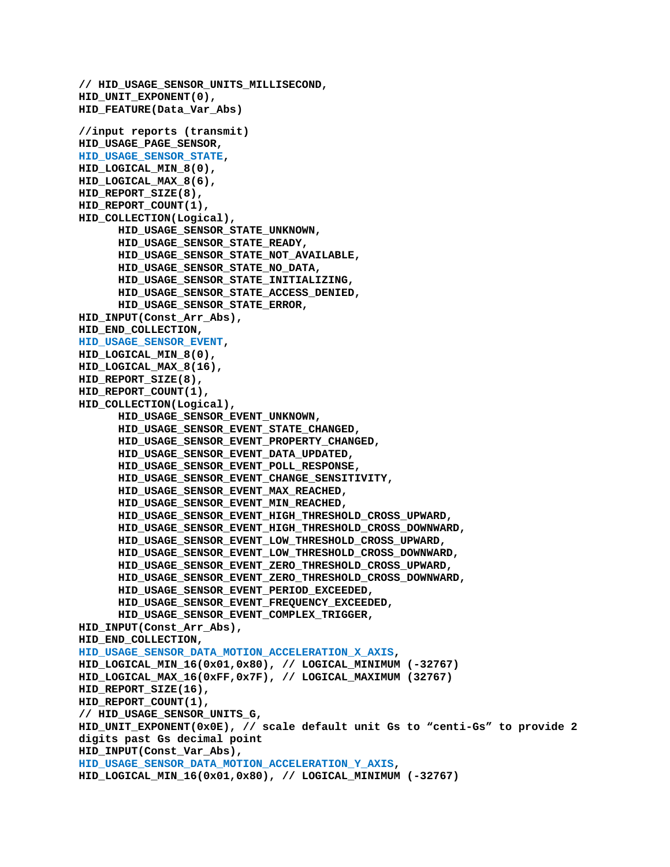```
// HID_USAGE_SENSOR_UNITS_MILLISECOND, 
HID_UNIT_EXPONENT(0), 
HID_FEATURE(Data_Var_Abs)
//input reports (transmit) 
HID_USAGE_PAGE_SENSOR, 
HID_USAGE_SENSOR_STATE, 
HID_LOGICAL_MIN_8(0), 
HID_LOGICAL_MAX_8(6), 
HID_REPORT_SIZE(8), 
HID_REPORT_COUNT(1), 
HID_COLLECTION(Logical), 
      HID_USAGE_SENSOR_STATE_UNKNOWN, 
      HID_USAGE_SENSOR_STATE_READY, 
      HID_USAGE_SENSOR_STATE_NOT_AVAILABLE, 
      HID_USAGE_SENSOR_STATE_NO_DATA, 
      HID_USAGE_SENSOR_STATE_INITIALIZING, 
      HID_USAGE_SENSOR_STATE_ACCESS_DENIED, 
      HID_USAGE_SENSOR_STATE_ERROR, 
HID_INPUT(Const_Arr_Abs), 
HID_END_COLLECTION, 
HID_USAGE_SENSOR_EVENT, 
HID_LOGICAL_MIN_8(0), 
HID_LOGICAL_MAX_8(16), 
HID_REPORT_SIZE(8), 
HID_REPORT_COUNT(1), 
HID_COLLECTION(Logical), 
      HID_USAGE_SENSOR_EVENT_UNKNOWN, 
      HID_USAGE_SENSOR_EVENT_STATE_CHANGED, 
      HID_USAGE_SENSOR_EVENT_PROPERTY_CHANGED, 
      HID_USAGE_SENSOR_EVENT_DATA_UPDATED, 
      HID_USAGE_SENSOR_EVENT_POLL_RESPONSE, 
      HID_USAGE_SENSOR_EVENT_CHANGE_SENSITIVITY, 
      HID_USAGE_SENSOR_EVENT_MAX_REACHED, 
      HID_USAGE_SENSOR_EVENT_MIN_REACHED, 
      HID_USAGE_SENSOR_EVENT_HIGH_THRESHOLD_CROSS_UPWARD, 
      HID_USAGE_SENSOR_EVENT_HIGH_THRESHOLD_CROSS_DOWNWARD, 
      HID_USAGE_SENSOR_EVENT_LOW_THRESHOLD_CROSS_UPWARD, 
      HID_USAGE_SENSOR_EVENT_LOW_THRESHOLD_CROSS_DOWNWARD, 
      HID_USAGE_SENSOR_EVENT_ZERO_THRESHOLD_CROSS_UPWARD, 
      HID_USAGE_SENSOR_EVENT_ZERO_THRESHOLD_CROSS_DOWNWARD, 
      HID_USAGE_SENSOR_EVENT_PERIOD_EXCEEDED, 
      HID_USAGE_SENSOR_EVENT_FREQUENCY_EXCEEDED, 
      HID_USAGE_SENSOR_EVENT_COMPLEX_TRIGGER, 
HID_INPUT(Const_Arr_Abs), 
HID_END_COLLECTION, 
HID_USAGE_SENSOR_DATA_MOTION_ACCELERATION_X_AXIS, 
HID_LOGICAL_MIN_16(0x01,0x80), // LOGICAL_MINIMUM (-32767) 
HID_LOGICAL_MAX_16(0xFF,0x7F), // LOGICAL_MAXIMUM (32767) 
HID_REPORT_SIZE(16), 
HID_REPORT_COUNT(1), 
// HID_USAGE_SENSOR_UNITS_G, 
HID_UNIT_EXPONENT(0x0E), // scale default unit Gs to "centi-Gs" to provide 2 
digits past Gs decimal point 
HID_INPUT(Const_Var_Abs), 
HID_USAGE_SENSOR_DATA_MOTION_ACCELERATION_Y_AXIS, 
HID_LOGICAL_MIN_16(0x01,0x80), // LOGICAL_MINIMUM (-32767)
```